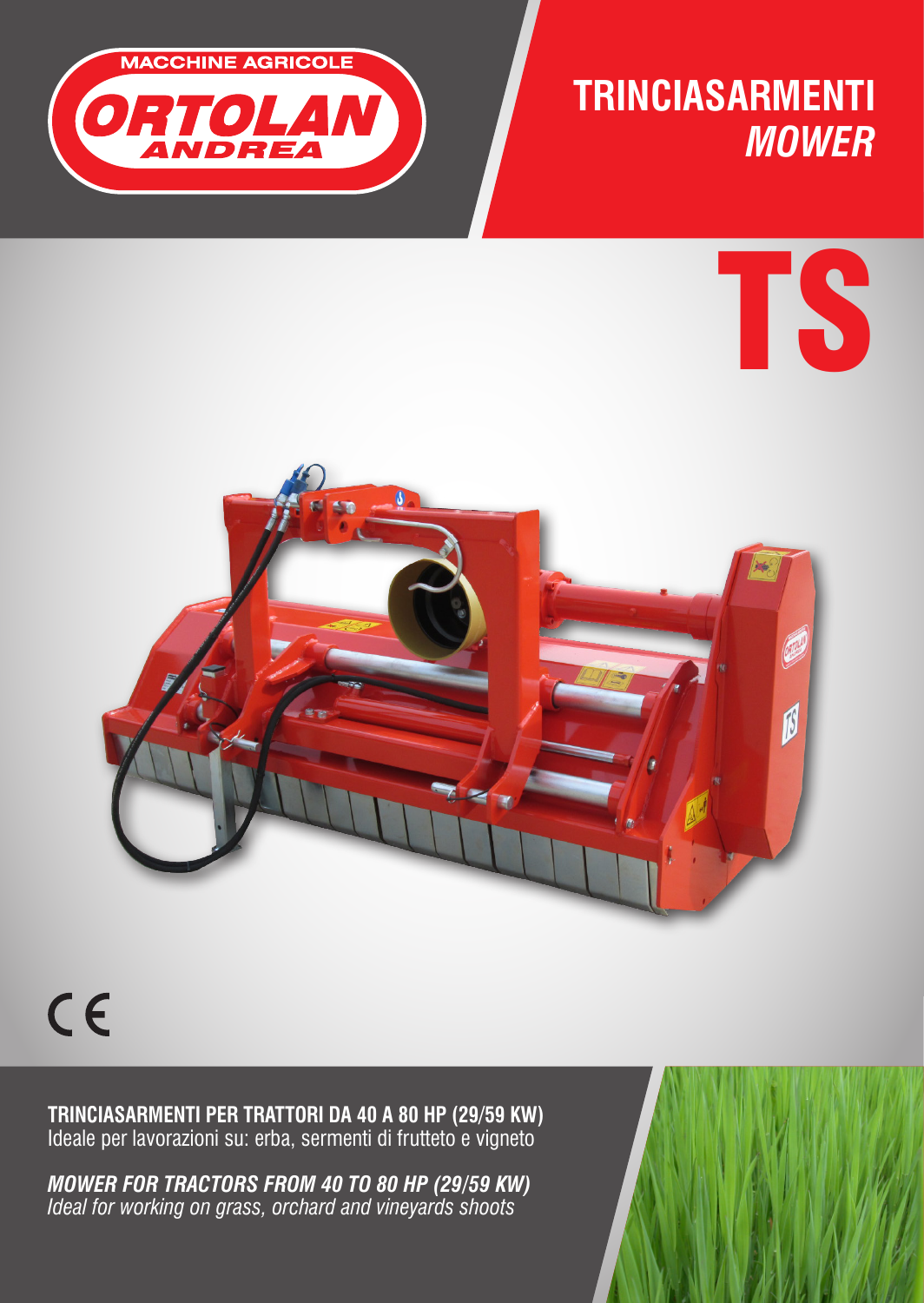

## **TRINCIASARMENTI** *MOWER*





 $C<sub>6</sub>$ 

**TRINCIASARMENTI PER TRATTORI DA 40 A 80 HP (29/59 KW)**  Ideale per lavorazioni su: erba, sermenti di frutteto e vigneto

*MOWER FOR TRACTORS FROM 40 TO 80 HP (29/59 KW) Ideal for working on grass, orchard and vineyards shoots*